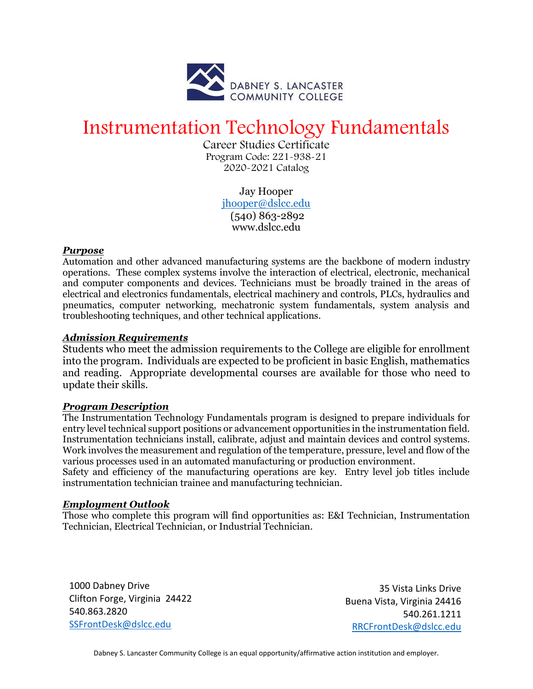

# Instrumentation Technology Fundamentals

Career Studies Certificate Program Code: 221-938-21 2020-2021 Catalog

> Jay Hooper [jhooper@dslcc.edu](mailto:jhooper@dslcc.edu) (540) 863-2892 www.dslcc.edu

#### *Purpose*

Automation and other advanced manufacturing systems are the backbone of modern industry operations. These complex systems involve the interaction of electrical, electronic, mechanical and computer components and devices. Technicians must be broadly trained in the areas of electrical and electronics fundamentals, electrical machinery and controls, PLCs, hydraulics and pneumatics, computer networking, mechatronic system fundamentals, system analysis and troubleshooting techniques, and other technical applications.

## *Admission Requirements*

Students who meet the admission requirements to the College are eligible for enrollment into the program. Individuals are expected to be proficient in basic English, mathematics and reading. Appropriate developmental courses are available for those who need to update their skills.

#### *Program Description*

The Instrumentation Technology Fundamentals program is designed to prepare individuals for entry level technical support positions or advancement opportunities in the instrumentation field. Instrumentation technicians install, calibrate, adjust and maintain devices and control systems. Work involves the measurement and regulation of the temperature, pressure, level and flow of the various processes used in an automated manufacturing or production environment.

Safety and efficiency of the manufacturing operations are key. Entry level job titles include instrumentation technician trainee and manufacturing technician.

## *Employment Outlook*

Those who complete this program will find opportunities as: E&I Technician, Instrumentation Technician, Electrical Technician, or Industrial Technician.

1000 Dabney Drive Clifton Forge, Virginia 24422 540.863.2820 [SSFrontDesk@dslcc.edu](mailto:SSFrontDesk@dslcc.edu)

35 Vista Links Drive Buena Vista, Virginia 24416 540.261.1211 [RRCFrontDesk@dslcc.edu](mailto:RRCFrontDesk@dslcc.edu)

Dabney S. Lancaster Community College is an equal opportunity/affirmative action institution and employer.